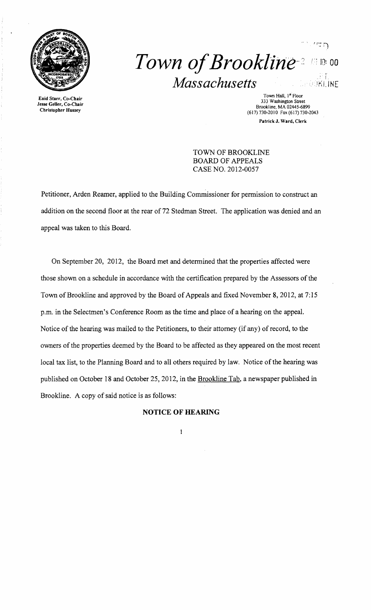

# *Town of Brookline*<sup>2</sup>  $Massachusetts$ **.HUKLINE**

Town Hall, I<sup>st</sup> Floor Town Hall, Islam Town Hall, Islam Town Hall, Islam Town Hall, Islam Town Hall, Islam Town Hall, Islam Town Hall, Islam Town Hall, Islam Town Hall, Islam Town Hall, Islam Town Hall, Islam Street Brook Patrick J. Ward, Clerk

 $^{\prime}$   $\Box$   $\Box$ 

TOWN OF BROOKLINE BOARD OF APPEALS CASE NO. 2012-0057

Petitioner, Arden Reamer, applied to the Building Commissioner for permission to construct an addition on the second floor at the rear of 72 Stedman Street. The application was denied and an appeal was taken to this Board.

On September 20, 2012, the Board met and determined that the properties affected were those shown on a schedule in accordance with the certification prepared by the Assessors of the Town of Brookline and approved by the Board of Appeals and fixed November 8, 2012, at 7:15 p.m. in the Selectmen's Conference Room as the time and place of a hearing on the appeal. Notice of the hearing was mailed to the Petitioners, to their attorney (if any) of record, to the owners of the properties deemed by the Board to be affected as they appeared on the most recent local tax list, to the Planning Board and to all others required by law. Notice of the hearing was published on October 18 and October 25,2012, in the Brookline Tab, a newspaper published in Brookline. A copy of said notice is as follows:

## **NOTICE OF HEARING**

 $\mathbf{I}$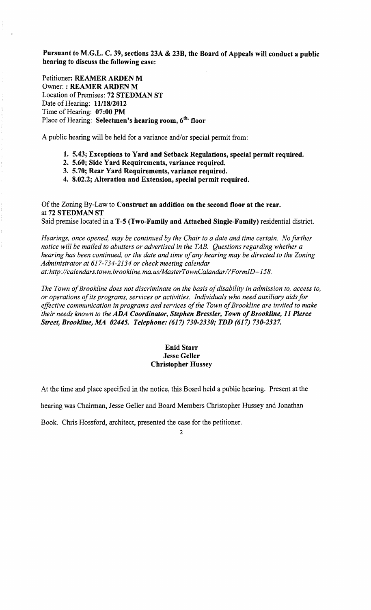Pursuant to M.G.L. C. 39, sections 23A & 23B, the Board of Appeals will conduct a public hearing to discuss the following case:

Petitioner: REAMER ARDEN M Owner: : REAMER ARDEN M Location of Premises: 72 STEDMAN ST Date of Hearing: **11/18/2012** Time of Hearing: 07:00 PM Place of Hearing: Selectmen's hearing room, 6<sup>th.</sup> floor

A public hearing will be held for a variance and/or special permit from:

- 1. 5.43; Exceptions to Yard and Setback Regulations, special permit required.
- 2. 5.60; Side Yard Requirements, variance required.
- 3. 5.70; Rear Yard Requirements, variance required.
- 4. 8.02.2; Alteration and Extension, special permit required.

Of the Zoning By-Law to Construct an addition on the second floor at the rear. at 72 STEDMAN ST Said premise located in a T-5 (Two-Family and Attached Single-Family) residential district.

*Hearings, once opened, may be continued by the Chair to a date and time certain. No further notice will be mailed to abutters or advertised in the TAB. Questions regarding whether a hearing has been continued, or the date and time of any hearing may be directed to the Zoning Administrator at* 617-734-2134 *or check meeting calendar*  at:http://calendars.town.brookline.ma.us/MasterTownCalandar/?FormID=158.

The Town of Brookline does not discriminate on the basis of disability in admission to, access to, *or operations ofits programs, services or activities. Individuals who need auxiliary aids for*  effective communication in programs and services of the Town of Brookline are invited to make *their needs known to the ADA Coordinator, Stephen Bressler, Town of Brookline, 11 Pierce Street, Brookline,.MA 02445. Telephone:* (617) *730-2330; TDD* (617) *730-2327.* 

### Enid Starr Jesse Geller Christopher Hussey

At the time and place specified in the notice, this Board held a public hearing. Present at the

hearing was Chairman, Jesse Geller and Board Members Christopher Hussey and Jonathan

Book. Chris Hossford, architect, presented the case for the petitioner.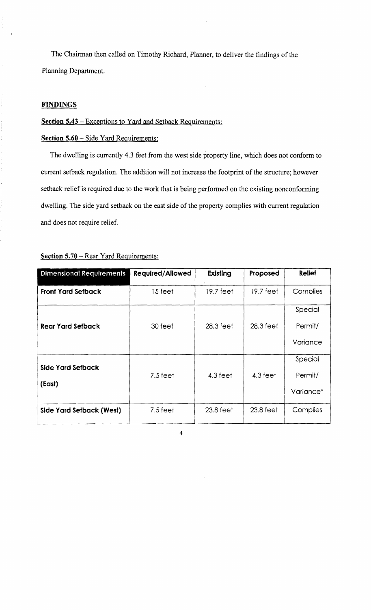The Chairman then called on Timothy Richard, Planner, to deliver the findings of the Planning Department.

# **FINDINGS**

#### **Section 5.43** – Exceptions to Yard and Setback Requirements:

#### **Section 5.60** - Side Yard Requirements:

The dwelling is currently 4.3 feet from the west side property line, which does not conform to current setback regulation. The addition will not increase the footprint of the structure; however setback relief is required due to the work that is being performed on the existing nonconforming dwelling. The side yard setback on the east side of the property complies with current regulation and does not require relief.

| <b>Dimensional Requirements</b> | <b>Required/Allowed</b> | Existing            | Proposed  | <b>Relief</b>      |
|---------------------------------|-------------------------|---------------------|-----------|--------------------|
| <b>Front Yard Setback</b>       | 15 feet                 | $19.7 \text{ feet}$ | 19.7 feet | Complies           |
| <b>Rear Yard Setback</b>        | 30 feet                 | $28.3 \text{ feet}$ | 28.3 feet | Special<br>Permit/ |
|                                 |                         |                     |           | Variance           |
| Side Yard Setback               | $7.5 \text{ feet}$      | 4.3 feet            | 4.3 feet  | Special<br>Permit/ |
| (East)                          |                         |                     |           | Variance*          |
| Side Yard Setback (West)        | $7.5$ feet              | 23.8 feet           | 23.8 feet | Complies           |

#### **Section 5.70 – Rear Yard Requirements:**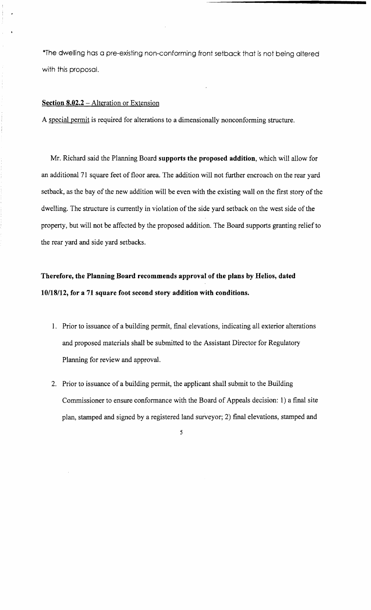\*The dwelling has a pre-existing non-conforming front setback that is not being altered with this proposal.

# **Section 8.02.2** - Alteration or Extension

A special permit is required for alterations to a dimensionally nonconforming structure.

Mr. Richard said the Planning Board **supports the proposed addition,** which will allow for an additional 71 square feet of floor area. The addition will not further encroach on the rear yard setback, as the bay of the new addition will be even with the existing wall on the first story of the dwelling. The structure is currently in violation of the side yard setback on the west side of the property, but will not be affected by the proposed addition. The Board supports granting relief to the rear yard and side yard setbacks.

# **Therefore, the Planning Board recommends approval of the plans by Helios, dated 10118/12, for a 71 square foot second story addition with conditions.**

- 1. Prior to issuance of a building permit, final elevations, indicating all exterior alterations and proposed materials shall be submitted to the Assistant Director for Regulatory Planning for review and approval.
- 2. Prior to issuance of a building permit, the applicant shall submit to the Building Commissioner to ensure conformance with the Board of Appeals decision: 1) a final site plan, stamped and signed by a registered land surveyor; 2) final elevations, stamped and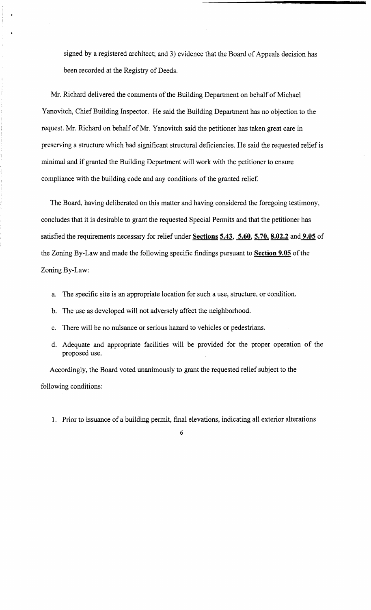signed by a registered architect; and 3) evidence that the Board of Appeals decision has been recorded at the Registry of Deeds.

Mr. Richard delivered the comments of the Building Department on behalf of Michael Yanovitch, Chief Building Inspector. He said the Building Department has no objection to the request. Mr. Richard on behalf of Mr. Yanovitch said the petitioner has taken great care in preserving a structure which had significant structural deficiencies. He said the requested relief is minimal and if granted the Building Department will work with the petitioner to ensure compliance with the building code and any conditions of the granted relief.

The Board, having deliberated on this matter and having considered the foregoing testimony, concludes that it is desirable to grant the requested Special Permits and that the petitioner has satisfied the requirements necessary for relief under **Sections 5.43, 5.60,5.70,8.02.2** and **9.05 of**  the Zoning By-Law and made the following specific findings pursuant to **Section 9.05** of the Zoning By-Law:

- a. The specific site is an appropriate location for such a use, structure, or condition.
- b. The use as developed will not adversely affect the neighborhood.
- c. There will be no nuisance or serious hazard to vehicles or pedestrians.
- d. Adequate and appropriate facilities will be provided for the proper operation of the proposed use.

Accordingly, the Board voted unanimously to grant the requested relief subject to the following conditions:

1. Prior to issuance of a building permit, final elevations, indicating all exterior alterations